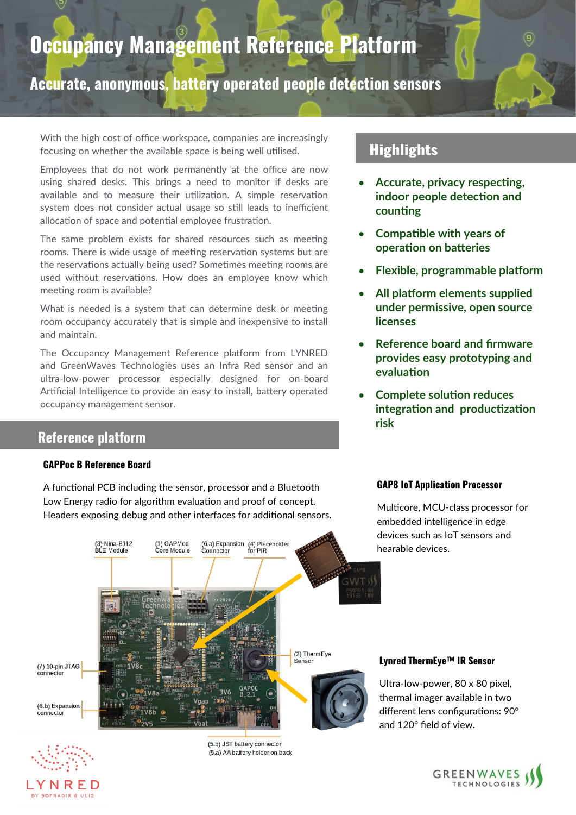# **Occupancy Management Reference Platform**

**Accurate, anonymous, battery operated people detection sensors**

With the high cost of office workspace, companies are increasingly focusing on whether the available space is being well utilised.

Employees that do not work permanently at the office are now using shared desks. This brings a need to monitor if desks are available and to measure their utilization. A simple reservation system does not consider actual usage so still leads to inefficient allocation of space and potential employee frustration.

The same problem exists for shared resources such as meeting rooms. There is wide usage of meeting reservation systems but are the reservations actually being used? Sometimes meeting rooms are used without reservations. How does an employee know which meeting room is available?

What is needed is a system that can determine desk or meeting room occupancy accurately that is simple and inexpensive to install and maintain.

The Occupancy Management Reference platform from LYNRED and GreenWaves Technologies uses an Infra Red sensor and an ultra-low-power processor especially designed for on-board Artificial Intelligence to provide an easy to install, battery operated occupancy management sensor.

# **Reference platform**

#### **GAPPoc B Reference Board**

A functional PCB including the sensor, processor and a Bluetooth Low Energy radio for algorithm evaluation and proof of concept. Headers exposing debug and other interfaces for additional sensors.

# **Highlights**

- **Accurate, privacy respecting, indoor people detection and counting**
- **Compatible with years of operation on batteries**
- **Flexible, programmable platform**
- **All platform elements supplied under permissive, open source licenses**
- **Reference board and firmware provides easy prototyping and evaluation**
- **Complete solution reduces integration and productization risk**

#### **GAP8 IoT Application Processor**

Multicore, MCU-class processor for embedded intelligence in edge devices such as IoT sensors and hearable devices.





**RY SOFRADIR & ULIS** 

(5.b) JST battery connector (5.a) AA battery holder on back

#### **Lynred ThermEye™ IR Sensor**

Ultra-low-power, 80 x 80 pixel, thermal imager available in two different lens configurations: 90° and 120° field of view.